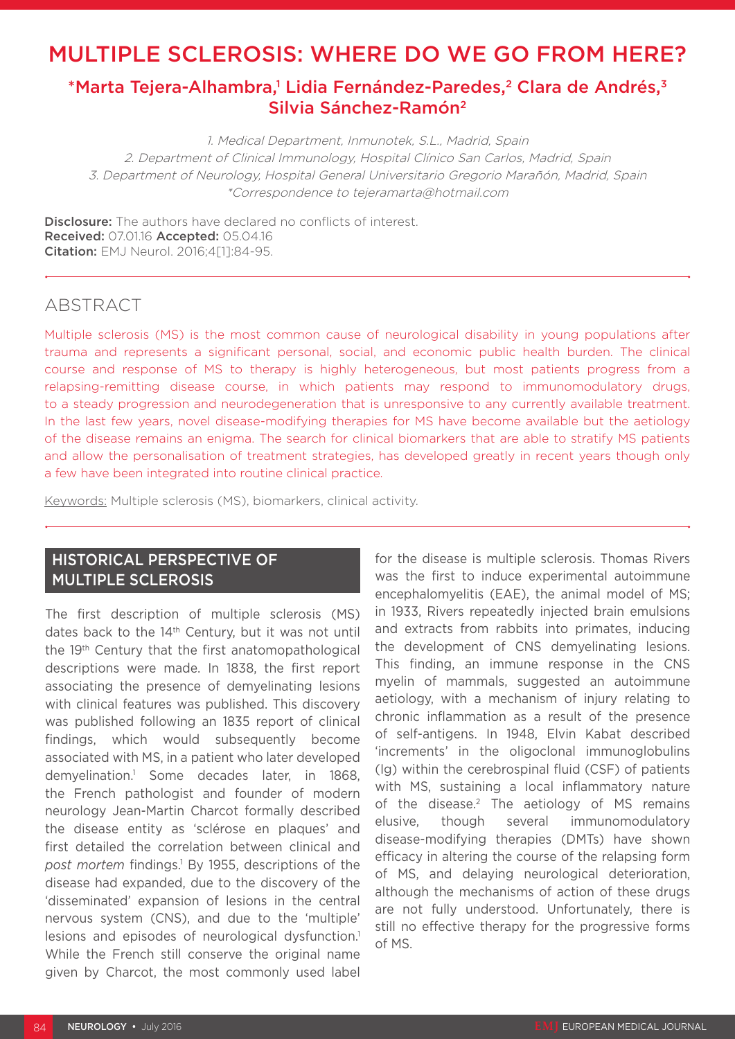# MULTIPLE SCLEROSIS: WHERE DO WE GO FROM HERE?

## \*Marta Tejera-Alhambra,<sup>1</sup> Lidia Fernández-Paredes,<sup>2</sup> Clara de Andrés,<sup>3</sup> Silvia Sánchez-Ramón<sup>2</sup>

1. Medical Department, Inmunotek, S.L., Madrid, Spain 2. Department of Clinical Immunology, Hospital Clínico San Carlos, Madrid, Spain 3. Department of Neurology, Hospital General Universitario Gregorio Marañón, Madrid, Spain \*Correspondence to tejeramarta@hotmail.com

**Disclosure:** The authors have declared no conflicts of interest. Received: 07.01.16 Accepted: 05.04.16 Citation: EMJ Neurol. 2016;4[1]:84-95.

### ABSTRACT

Multiple sclerosis (MS) is the most common cause of neurological disability in young populations after trauma and represents a significant personal, social, and economic public health burden. The clinical course and response of MS to therapy is highly heterogeneous, but most patients progress from a relapsing-remitting disease course, in which patients may respond to immunomodulatory drugs, to a steady progression and neurodegeneration that is unresponsive to any currently available treatment. In the last few years, novel disease-modifying therapies for MS have become available but the aetiology of the disease remains an enigma. The search for clinical biomarkers that are able to stratify MS patients and allow the personalisation of treatment strategies, has developed greatly in recent years though only a few have been integrated into routine clinical practice.

Keywords: Multiple sclerosis (MS), biomarkers, clinical activity.

## HISTORICAL PERSPECTIVE OF MULTIPLE SCLEROSIS

The first description of multiple sclerosis (MS) dates back to the 14<sup>th</sup> Century, but it was not until the 19th Century that the first anatomopathological descriptions were made. In 1838, the first report associating the presence of demyelinating lesions with clinical features was published. This discovery was published following an 1835 report of clinical findings, which would subsequently become associated with MS, in a patient who later developed demyelination.1 Some decades later, in 1868, the French pathologist and founder of modern neurology Jean-Martin Charcot formally described the disease entity as 'sclérose en plaques' and first detailed the correlation between clinical and *post mortem* findings.1 By 1955, descriptions of the disease had expanded, due to the discovery of the 'disseminated' expansion of lesions in the central nervous system (CNS), and due to the 'multiple' lesions and episodes of neurological dysfunction.<sup>1</sup> While the French still conserve the original name given by Charcot, the most commonly used label

for the disease is multiple sclerosis. Thomas Rivers was the first to induce experimental autoimmune encephalomyelitis (EAE), the animal model of MS; in 1933, Rivers repeatedly injected brain emulsions and extracts from rabbits into primates, inducing the development of CNS demyelinating lesions. This finding, an immune response in the CNS myelin of mammals, suggested an autoimmune aetiology, with a mechanism of injury relating to chronic inflammation as a result of the presence of self-antigens. In 1948, Elvin Kabat described 'increments' in the oligoclonal immunoglobulins (Ig) within the cerebrospinal fluid (CSF) of patients with MS, sustaining a local inflammatory nature of the disease.<sup>2</sup> The aetiology of MS remains elusive, though several immunomodulatory disease-modifying therapies (DMTs) have shown efficacy in altering the course of the relapsing form of MS, and delaying neurological deterioration, although the mechanisms of action of these drugs are not fully understood. Unfortunately, there is still no effective therapy for the progressive forms of MS.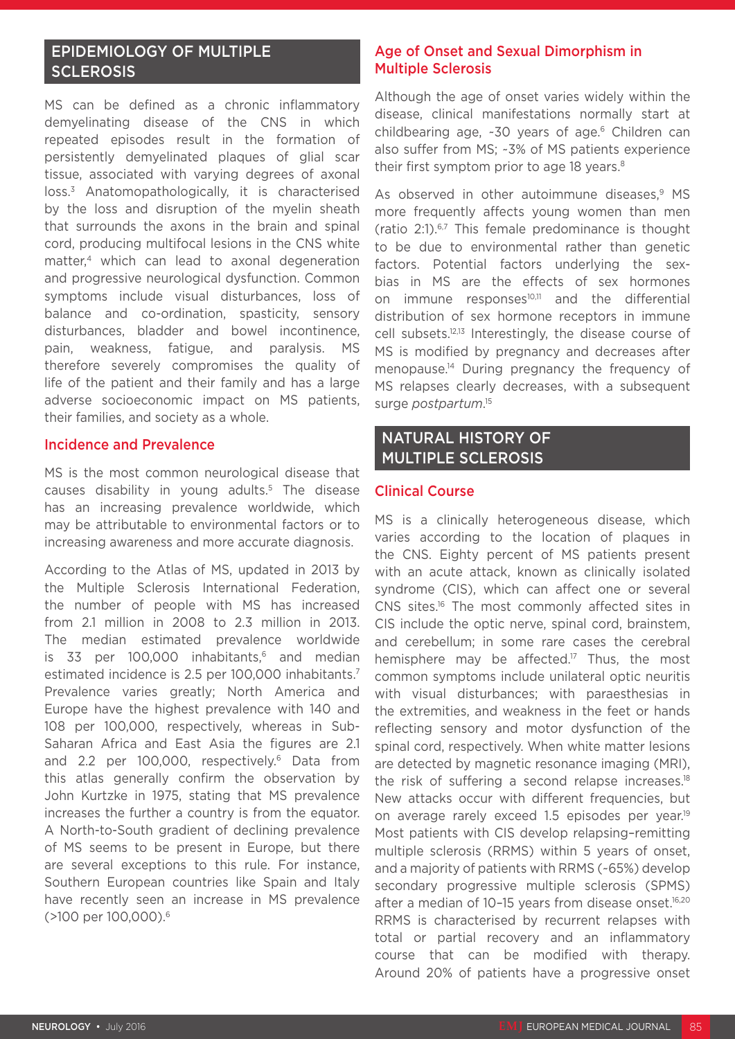## EPIDEMIOLOGY OF MULTIPLE **SCLEROSIS**

MS can be defined as a chronic inflammatory demyelinating disease of the CNS in which repeated episodes result in the formation of persistently demyelinated plaques of glial scar tissue, associated with varying degrees of axonal loss.3 Anatomopathologically, it is characterised by the loss and disruption of the myelin sheath that surrounds the axons in the brain and spinal cord, producing multifocal lesions in the CNS white matter,<sup>4</sup> which can lead to axonal degeneration and progressive neurological dysfunction. Common symptoms include visual disturbances, loss of balance and co-ordination, spasticity, sensory disturbances, bladder and bowel incontinence, pain, weakness, fatigue, and paralysis. MS therefore severely compromises the quality of life of the patient and their family and has a large adverse socioeconomic impact on MS patients, their families, and society as a whole.

### Incidence and Prevalence

MS is the most common neurological disease that causes disability in young adults.5 The disease has an increasing prevalence worldwide, which may be attributable to environmental factors or to increasing awareness and more accurate diagnosis.

According to the Atlas of MS, updated in 2013 by the Multiple Sclerosis International Federation, the number of people with MS has increased from 2.1 million in 2008 to 2.3 million in 2013. The median estimated prevalence worldwide is 33 per 100,000 inhabitants, $6$  and median estimated incidence is 2.5 per 100,000 inhabitants.<sup>7</sup> Prevalence varies greatly; North America and Europe have the highest prevalence with 140 and 108 per 100,000, respectively, whereas in Sub-Saharan Africa and East Asia the figures are 2.1 and 2.2 per 100,000, respectively.<sup>6</sup> Data from this atlas generally confirm the observation by John Kurtzke in 1975, stating that MS prevalence increases the further a country is from the equator. A North-to-South gradient of declining prevalence of MS seems to be present in Europe, but there are several exceptions to this rule. For instance, Southern European countries like Spain and Italy have recently seen an increase in MS prevalence (>100 per 100,000).6

## Age of Onset and Sexual Dimorphism in Multiple Sclerosis

Although the age of onset varies widely within the disease, clinical manifestations normally start at childbearing age, ~30 years of age.<sup>6</sup> Children can also suffer from MS; ~3% of MS patients experience their first symptom prior to age 18 years.<sup>8</sup>

As observed in other autoimmune diseases.<sup>9</sup> MS more frequently affects young women than men (ratio  $2:1$ ).<sup>6,7</sup> This female predominance is thought to be due to environmental rather than genetic factors. Potential factors underlying the sexbias in MS are the effects of sex hormones on immune responses<sup>10,11</sup> and the differential distribution of sex hormone receptors in immune cell subsets.12,13 Interestingly, the disease course of MS is modified by pregnancy and decreases after menopause.14 During pregnancy the frequency of MS relapses clearly decreases, with a subsequent surge *postpartum*. 15

## NATURAL HISTORY OF MULTIPLE SCLEROSIS

### Clinical Course

MS is a clinically heterogeneous disease, which varies according to the location of plaques in the CNS. Eighty percent of MS patients present with an acute attack, known as clinically isolated syndrome (CIS), which can affect one or several CNS sites.16 The most commonly affected sites in CIS include the optic nerve, spinal cord, brainstem, and cerebellum; in some rare cases the cerebral hemisphere may be affected.<sup>17</sup> Thus, the most common symptoms include unilateral optic neuritis with visual disturbances; with paraesthesias in the extremities, and weakness in the feet or hands reflecting sensory and motor dysfunction of the spinal cord, respectively. When white matter lesions are detected by magnetic resonance imaging (MRI), the risk of suffering a second relapse increases.<sup>18</sup> New attacks occur with different frequencies, but on average rarely exceed 1.5 episodes per year.<sup>19</sup> Most patients with CIS develop relapsing–remitting multiple sclerosis (RRMS) within 5 years of onset, and a majority of patients with RRMS (~65%) develop secondary progressive multiple sclerosis (SPMS) after a median of 10-15 years from disease onset.<sup>16,20</sup> RRMS is characterised by recurrent relapses with total or partial recovery and an inflammatory course that can be modified with therapy. Around 20% of patients have a progressive onset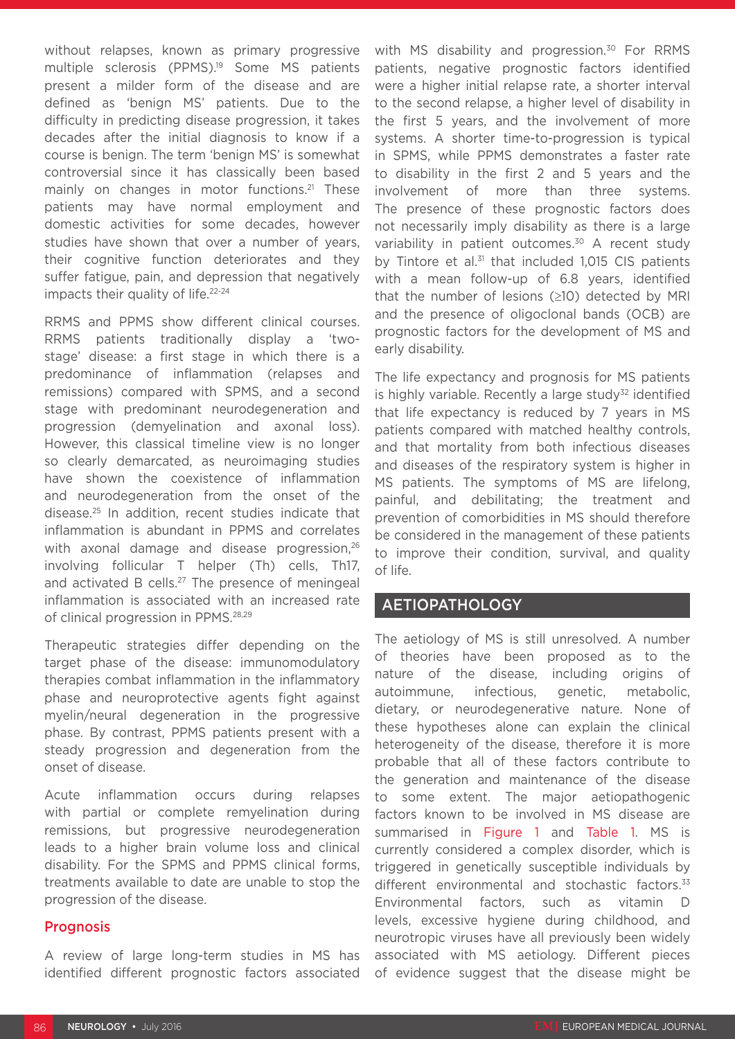without relapses, known as primary progressive multiple sclerosis (PPMS).<sup>19</sup> Some MS patients present a milder form of the disease and are defined as 'benign MS' patients. Due to the difficulty in predicting disease progression, it takes decades after the initial diagnosis to know if a course is benign. The term 'benign MS' is somewhat controversial since it has classically been based mainly on changes in motor functions.<sup>21</sup> These patients may have normal employment and domestic activities for some decades, however studies have shown that over a number of years, their cognitive function deteriorates and they suffer fatigue, pain, and depression that negatively impacts their quality of life.<sup>22-24</sup>

RRMS and PPMS show different clinical courses. RRMS patients traditionally display a 'twostage' disease: a first stage in which there is a predominance of inflammation (relapses and remissions) compared with SPMS, and a second stage with predominant neurodegeneration and progression (demyelination and axonal loss). However, this classical timeline view is no longer so clearly demarcated, as neuroimaging studies have shown the coexistence of inflammation and neurodegeneration from the onset of the disease.25 In addition, recent studies indicate that inflammation is abundant in PPMS and correlates with axonal damage and disease progression.<sup>26</sup> involving follicular T helper (Th) cells, Th17, and activated B cells.<sup>27</sup> The presence of meningeal inflammation is associated with an increased rate of clinical progression in PPMS.<sup>28,29</sup>

Therapeutic strategies differ depending on the target phase of the disease: immunomodulatory therapies combat inflammation in the inflammatory phase and neuroprotective agents fight against myelin/neural degeneration in the progressive phase. By contrast, PPMS patients present with a steady progression and degeneration from the onset of disease.

Acute inflammation occurs during relapses with partial or complete remyelination during remissions, but progressive neurodegeneration leads to a higher brain volume loss and clinical disability. For the SPMS and PPMS clinical forms, treatments available to date are unable to stop the progression of the disease.

#### **Prognosis**

A review of large long-term studies in MS has identified different prognostic factors associated

with MS disability and progression.<sup>30</sup> For RRMS patients, negative prognostic factors identified were a higher initial relapse rate, a shorter interval to the second relapse, a higher level of disability in the first 5 years, and the involvement of more systems. A shorter time-to-progression is typical in SPMS, while PPMS demonstrates a faster rate to disability in the first 2 and 5 years and the involvement of more than three systems. The presence of these prognostic factors does not necessarily imply disability as there is a large variability in patient outcomes.<sup>30</sup> A recent study by Tintore et al.<sup>31</sup> that included 1,015 CIS patients with a mean follow-up of 6.8 years, identified that the number of lesions  $(\geq 10)$  detected by MRI and the presence of oligoclonal bands (OCB) are prognostic factors for the development of MS and early disability.

The life expectancy and prognosis for MS patients is highly variable. Recently a large study<sup>32</sup> identified that life expectancy is reduced by 7 years in MS patients compared with matched healthy controls, and that mortality from both infectious diseases and diseases of the respiratory system is higher in MS patients. The symptoms of MS are lifelong, painful, and debilitating; the treatment and prevention of comorbidities in MS should therefore be considered in the management of these patients to improve their condition, survival, and quality of life.

### AETIOPATHOLOGY

The aetiology of MS is still unresolved. A number of theories have been proposed as to the nature of the disease, including origins of autoimmune, infectious, genetic, metabolic, dietary, or neurodegenerative nature. None of these hypotheses alone can explain the clinical heterogeneity of the disease, therefore it is more probable that all of these factors contribute to the generation and maintenance of the disease to some extent. The major aetiopathogenic factors known to be involved in MS disease are summarised in Figure 1 and Table 1. MS is currently considered a complex disorder, which is triggered in genetically susceptible individuals by different environmental and stochastic factors.<sup>33</sup> Environmental factors, such as vitamin D levels, excessive hygiene during childhood, and neurotropic viruses have all previously been widely associated with MS aetiology. Different pieces of evidence suggest that the disease might be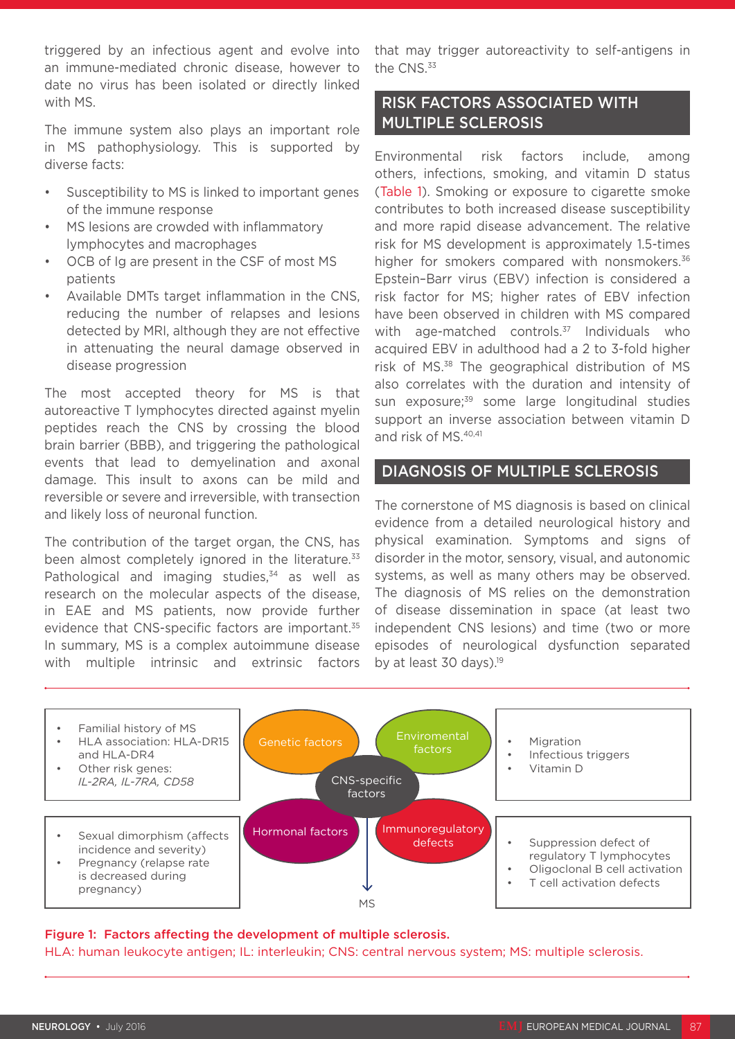triggered by an infectious agent and evolve into an immune-mediated chronic disease, however to date no virus has been isolated or directly linked with MS.

The immune system also plays an important role in MS pathophysiology. This is supported by diverse facts:

- Susceptibility to MS is linked to important genes of the immune response
- MS lesions are crowded with inflammatory lymphocytes and macrophages
- OCB of Ig are present in the CSF of most MS patients
- Available DMTs target inflammation in the CNS, reducing the number of relapses and lesions detected by MRI, although they are not effective in attenuating the neural damage observed in disease progression

The most accepted theory for MS is that autoreactive T lymphocytes directed against myelin peptides reach the CNS by crossing the blood brain barrier (BBB), and triggering the pathological events that lead to demyelination and axonal damage. This insult to axons can be mild and reversible or severe and irreversible, with transection and likely loss of neuronal function.

The contribution of the target organ, the CNS, has been almost completely ignored in the literature.<sup>33</sup> Pathological and imaging studies,<sup>34</sup> as well as research on the molecular aspects of the disease, in EAE and MS patients, now provide further evidence that CNS-specific factors are important.<sup>35</sup> In summary, MS is a complex autoimmune disease with multiple intrinsic and extrinsic factors that may trigger autoreactivity to self-antigens in the CNS.<sup>33</sup>

## RISK FACTORS ASSOCIATED WITH MULTIPLE SCLEROSIS

Environmental risk factors include, among others, infections, smoking, and vitamin D status (Table 1). Smoking or exposure to cigarette smoke contributes to both increased disease susceptibility and more rapid disease advancement. The relative risk for MS development is approximately 1.5-times higher for smokers compared with nonsmokers.<sup>36</sup> Epstein–Barr virus (EBV) infection is considered a risk factor for MS; higher rates of EBV infection have been observed in children with MS compared with age-matched controls.<sup>37</sup> Individuals who acquired EBV in adulthood had a 2 to 3-fold higher risk of MS.38 The geographical distribution of MS also correlates with the duration and intensity of sun exposure;<sup>39</sup> some large longitudinal studies support an inverse association between vitamin D and risk of MS.40,41

### DIAGNOSIS OF MULTIPLE SCLEROSIS

The cornerstone of MS diagnosis is based on clinical evidence from a detailed neurological history and physical examination. Symptoms and signs of disorder in the motor, sensory, visual, and autonomic systems, as well as many others may be observed. The diagnosis of MS relies on the demonstration of disease dissemination in space (at least two independent CNS lesions) and time (two or more episodes of neurological dysfunction separated by at least 30 days). $19$ 



### Figure 1: Factors affecting the development of multiple sclerosis.

HLA: human leukocyte antigen; IL: interleukin; CNS: central nervous system; MS: multiple sclerosis.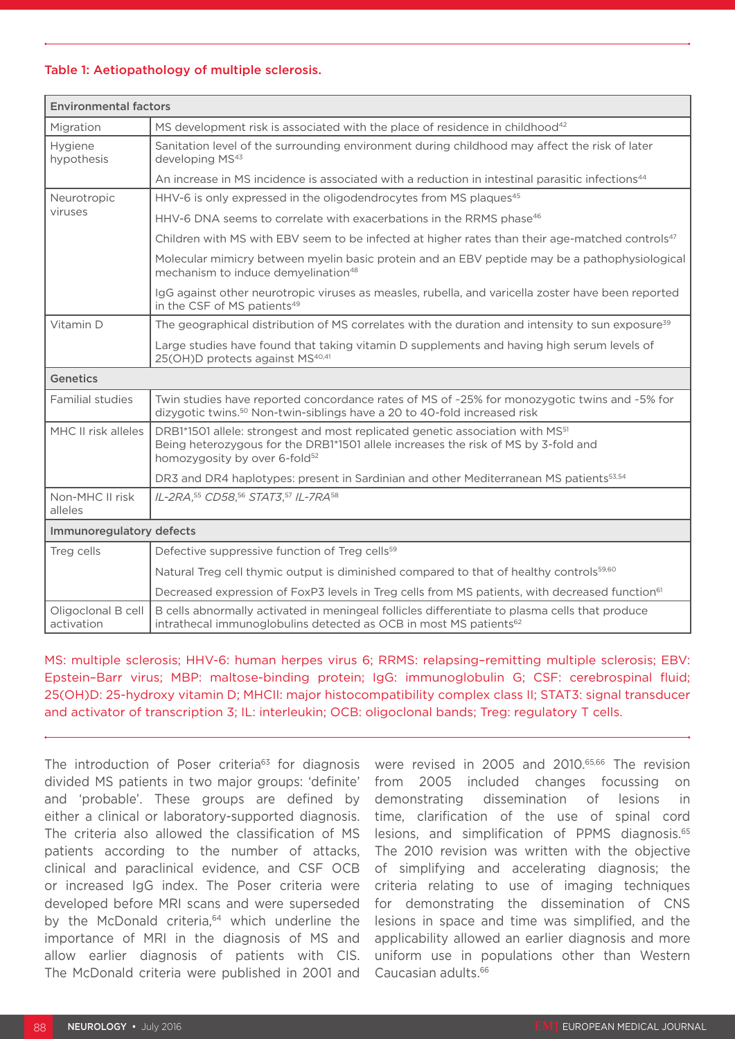#### Table 1: Aetiopathology of multiple sclerosis.

| <b>Environmental factors</b>     |                                                                                                                                                                                                                              |  |  |
|----------------------------------|------------------------------------------------------------------------------------------------------------------------------------------------------------------------------------------------------------------------------|--|--|
| Migration                        | MS development risk is associated with the place of residence in childhood <sup>42</sup>                                                                                                                                     |  |  |
| Hygiene<br>hypothesis            | Sanitation level of the surrounding environment during childhood may affect the risk of later<br>developing MS <sup>43</sup>                                                                                                 |  |  |
|                                  | An increase in MS incidence is associated with a reduction in intestinal parasitic infections <sup>44</sup>                                                                                                                  |  |  |
| Neurotropic<br>viruses           | HHV-6 is only expressed in the oligodendrocytes from MS plaques <sup>45</sup>                                                                                                                                                |  |  |
|                                  | HHV-6 DNA seems to correlate with exacerbations in the RRMS phase <sup>46</sup>                                                                                                                                              |  |  |
|                                  | Children with MS with EBV seem to be infected at higher rates than their age-matched controls <sup>47</sup>                                                                                                                  |  |  |
|                                  | Molecular mimicry between myelin basic protein and an EBV peptide may be a pathophysiological<br>mechanism to induce demyelination <sup>48</sup>                                                                             |  |  |
|                                  | IgG against other neurotropic viruses as measles, rubella, and varicella zoster have been reported<br>in the CSF of MS patients <sup>49</sup>                                                                                |  |  |
| Vitamin D                        | The geographical distribution of MS correlates with the duration and intensity to sun exposure <sup>39</sup>                                                                                                                 |  |  |
|                                  | Large studies have found that taking vitamin D supplements and having high serum levels of<br>25(OH)D protects against MS <sup>40,41</sup>                                                                                   |  |  |
| <b>Genetics</b>                  |                                                                                                                                                                                                                              |  |  |
| Familial studies                 | Twin studies have reported concordance rates of MS of ~25% for monozygotic twins and ~5% for<br>dizygotic twins. <sup>50</sup> Non-twin-siblings have a 20 to 40-fold increased risk                                         |  |  |
| MHC II risk alleles              | DRB1*1501 allele: strongest and most replicated genetic association with MS <sup>51</sup><br>Being heterozygous for the DRB1*1501 allele increases the risk of MS by 3-fold and<br>homozygosity by over 6-fold <sup>52</sup> |  |  |
|                                  | DR3 and DR4 haplotypes: present in Sardinian and other Mediterranean MS patients <sup>53,54</sup>                                                                                                                            |  |  |
| Non-MHC II risk<br>alleles       | IL-2RA, 55 CD58, 56 STAT3, 57 IL-7RA 58                                                                                                                                                                                      |  |  |
| Immunoregulatory defects         |                                                                                                                                                                                                                              |  |  |
| Treg cells                       | Defective suppressive function of Treg cells <sup>59</sup>                                                                                                                                                                   |  |  |
|                                  | Natural Treg cell thymic output is diminished compared to that of healthy controls <sup>59,60</sup>                                                                                                                          |  |  |
|                                  | Decreased expression of FoxP3 levels in Treg cells from MS patients, with decreased function <sup>61</sup>                                                                                                                   |  |  |
| Oligoclonal B cell<br>activation | B cells abnormally activated in meningeal follicles differentiate to plasma cells that produce<br>intrathecal immunoglobulins detected as OCB in most MS patients <sup>62</sup>                                              |  |  |

MS: multiple sclerosis; HHV-6: human herpes virus 6; RRMS: relapsing–remitting multiple sclerosis; EBV: Epstein–Barr virus; MBP: maltose-binding protein; IgG: immunoglobulin G; CSF: cerebrospinal fluid; 25(OH)D: 25-hydroxy vitamin D; MHCII: major histocompatibility complex class II; STAT3: signal transducer and activator of transcription 3; IL: interleukin; OCB: oligoclonal bands; Treg: regulatory T cells.

The introduction of Poser criteria<sup>63</sup> for diagnosis divided MS patients in two major groups: 'definite' and 'probable'. These groups are defined by either a clinical or laboratory-supported diagnosis. The criteria also allowed the classification of MS patients according to the number of attacks, clinical and paraclinical evidence, and CSF OCB or increased IgG index. The Poser criteria were developed before MRI scans and were superseded by the McDonald criteria,<sup>64</sup> which underline the importance of MRI in the diagnosis of MS and allow earlier diagnosis of patients with CIS. The McDonald criteria were published in 2001 and

were revised in 2005 and 2010.<sup>65,66</sup> The revision from 2005 included changes focussing on demonstrating dissemination of lesions in time, clarification of the use of spinal cord lesions, and simplification of PPMS diagnosis.65 The 2010 revision was written with the objective of simplifying and accelerating diagnosis; the criteria relating to use of imaging techniques for demonstrating the dissemination of CNS lesions in space and time was simplified, and the applicability allowed an earlier diagnosis and more uniform use in populations other than Western Caucasian adults.66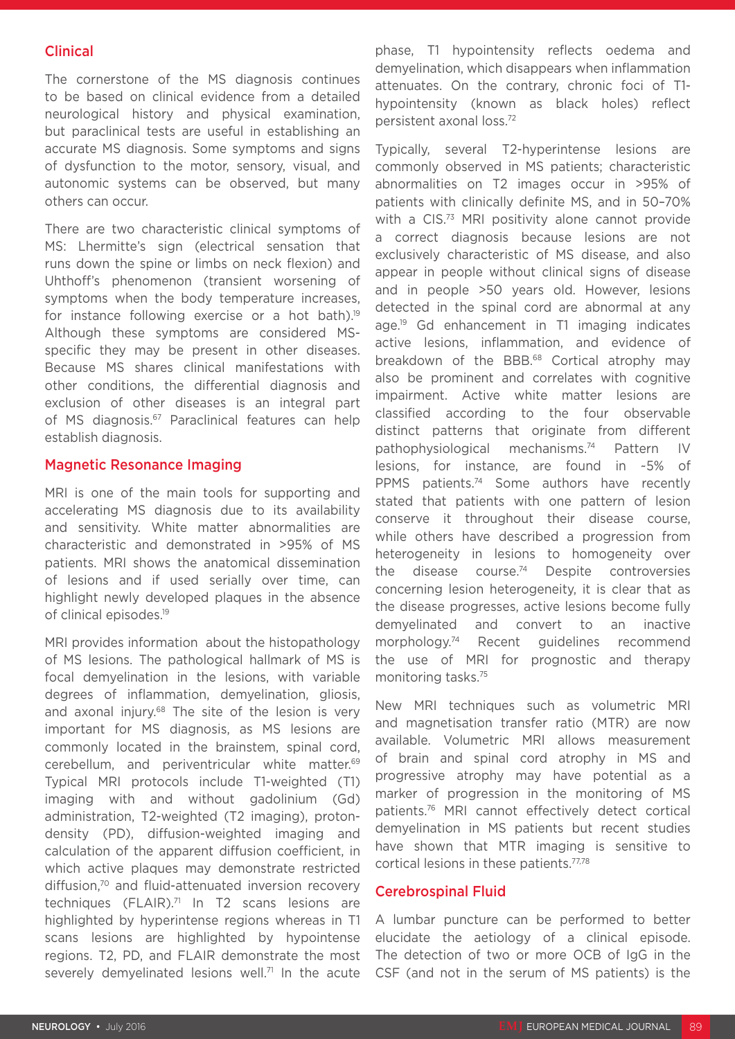### Clinical

The cornerstone of the MS diagnosis continues to be based on clinical evidence from a detailed neurological history and physical examination, but paraclinical tests are useful in establishing an accurate MS diagnosis. Some symptoms and signs of dysfunction to the motor, sensory, visual, and autonomic systems can be observed, but many others can occur.

There are two characteristic clinical symptoms of MS: Lhermitte's sign (electrical sensation that runs down the spine or limbs on neck flexion) and Uhthoff's phenomenon (transient worsening of symptoms when the body temperature increases, for instance following exercise or a hot bath).19 Although these symptoms are considered MSspecific they may be present in other diseases. Because MS shares clinical manifestations with other conditions, the differential diagnosis and exclusion of other diseases is an integral part of MS diagnosis.<sup>67</sup> Paraclinical features can help establish diagnosis.

#### Magnetic Resonance Imaging

MRI is one of the main tools for supporting and accelerating MS diagnosis due to its availability and sensitivity. White matter abnormalities are characteristic and demonstrated in >95% of MS patients. MRI shows the anatomical dissemination of lesions and if used serially over time, can highlight newly developed plaques in the absence of clinical episodes.<sup>19</sup>

MRI provides information about the histopathology of MS lesions. The pathological hallmark of MS is focal demyelination in the lesions, with variable degrees of inflammation, demyelination, gliosis, and axonal injury.<sup>68</sup> The site of the lesion is very important for MS diagnosis, as MS lesions are commonly located in the brainstem, spinal cord, cerebellum, and periventricular white matter.69 Typical MRI protocols include T1-weighted (T1) imaging with and without gadolinium (Gd) administration, T2-weighted (T2 imaging), protondensity (PD), diffusion-weighted imaging and calculation of the apparent diffusion coefficient, in which active plaques may demonstrate restricted diffusion,70 and fluid-attenuated inversion recovery techniques (FLAIR).71 In T2 scans lesions are highlighted by hyperintense regions whereas in T1 scans lesions are highlighted by hypointense regions. T2, PD, and FLAIR demonstrate the most severely demyelinated lesions well.<sup>71</sup> In the acute

phase, T1 hypointensity reflects oedema and demyelination, which disappears when inflammation attenuates. On the contrary, chronic foci of T1 hypointensity (known as black holes) reflect persistent axonal loss.72

Typically, several T2-hyperintense lesions are commonly observed in MS patients; characteristic abnormalities on T2 images occur in >95% of patients with clinically definite MS, and in 50–70% with a CIS.<sup>73</sup> MRI positivity alone cannot provide a correct diagnosis because lesions are not exclusively characteristic of MS disease, and also appear in people without clinical signs of disease and in people >50 years old. However, lesions detected in the spinal cord are abnormal at any age.19 Gd enhancement in T1 imaging indicates active lesions, inflammation, and evidence of breakdown of the BBB.<sup>68</sup> Cortical atrophy may also be prominent and correlates with cognitive impairment. Active white matter lesions are classified according to the four observable distinct patterns that originate from different pathophysiological mechanisms.<sup>74</sup> Pattern IV lesions, for instance, are found in ~5% of PPMS patients.<sup>74</sup> Some authors have recently stated that patients with one pattern of lesion conserve it throughout their disease course, while others have described a progression from heterogeneity in lesions to homogeneity over the disease course. $74$  Despite controversies concerning lesion heterogeneity, it is clear that as the disease progresses, active lesions become fully demyelinated and convert to an inactive morphology.<sup>74</sup> Recent guidelines recommend the use of MRI for prognostic and therapy monitoring tasks.75

New MRI techniques such as volumetric MRI and magnetisation transfer ratio (MTR) are now available. Volumetric MRI allows measurement of brain and spinal cord atrophy in MS and progressive atrophy may have potential as a marker of progression in the monitoring of MS patients.76 MRI cannot effectively detect cortical demyelination in MS patients but recent studies have shown that MTR imaging is sensitive to cortical lesions in these patients.<sup>77,78</sup>

### Cerebrospinal Fluid

A lumbar puncture can be performed to better elucidate the aetiology of a clinical episode. The detection of two or more OCB of IgG in the CSF (and not in the serum of MS patients) is the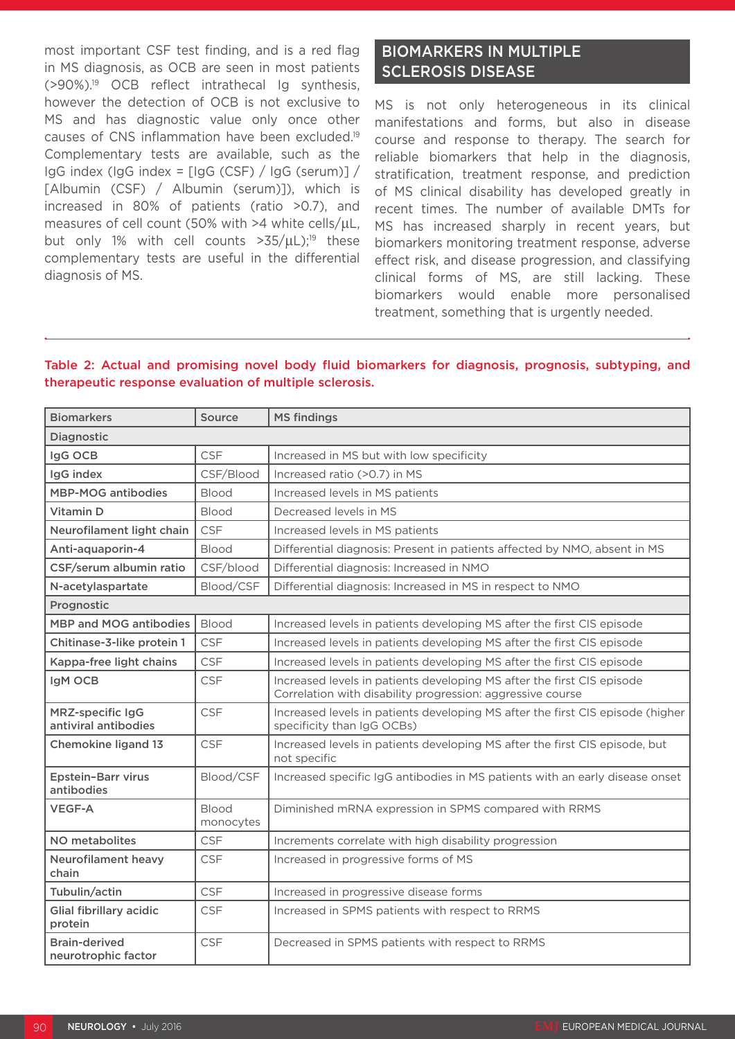most important CSF test finding, and is a red flag in MS diagnosis, as OCB are seen in most patients (>90%).19 OCB reflect intrathecal Ig synthesis, however the detection of OCB is not exclusive to MS and has diagnostic value only once other causes of CNS inflammation have been excluded.19 Complementary tests are available, such as the IgG index (IgG index = [IgG (CSF) / IgG (serum)] / [Albumin (CSF) / Albumin (serum)]), which is increased in 80% of patients (ratio >0.7), and measures of cell count (50% with >4 white cells/µL, but only 1% with cell counts  $>35/\mu$ L);<sup>19</sup> these complementary tests are useful in the differential diagnosis of MS.

## BIOMARKERS IN MULTIPLE SCLEROSIS DISEASE

MS is not only heterogeneous in its clinical manifestations and forms, but also in disease course and response to therapy. The search for reliable biomarkers that help in the diagnosis, stratification, treatment response, and prediction of MS clinical disability has developed greatly in recent times. The number of available DMTs for MS has increased sharply in recent years, but biomarkers monitoring treatment response, adverse effect risk, and disease progression, and classifying clinical forms of MS, are still lacking. These biomarkers would enable more personalised treatment, something that is urgently needed.

### Table 2: Actual and promising novel body fluid biomarkers for diagnosis, prognosis, subtyping, and therapeutic response evaluation of multiple sclerosis.

| <b>Biomarkers</b>                               | <b>Source</b>             | <b>MS findings</b>                                                                                                                   |  |  |
|-------------------------------------------------|---------------------------|--------------------------------------------------------------------------------------------------------------------------------------|--|--|
| <b>Diagnostic</b>                               |                           |                                                                                                                                      |  |  |
| IgG OCB                                         | <b>CSF</b>                | Increased in MS but with low specificity                                                                                             |  |  |
| IgG index                                       | CSF/Blood                 | Increased ratio (>0.7) in MS                                                                                                         |  |  |
| <b>MBP-MOG antibodies</b>                       | <b>Blood</b>              | Increased levels in MS patients                                                                                                      |  |  |
| Vitamin D                                       | <b>Blood</b>              | Decreased levels in MS                                                                                                               |  |  |
| Neurofilament light chain                       | <b>CSF</b>                | Increased levels in MS patients                                                                                                      |  |  |
| Anti-aquaporin-4                                | <b>Blood</b>              | Differential diagnosis: Present in patients affected by NMO, absent in MS                                                            |  |  |
| CSF/serum albumin ratio                         | CSF/blood                 | Differential diagnosis: Increased in NMO                                                                                             |  |  |
| N-acetylaspartate                               | Blood/CSF                 | Differential diagnosis: Increased in MS in respect to NMO                                                                            |  |  |
| Prognostic                                      |                           |                                                                                                                                      |  |  |
| <b>MBP and MOG antibodies</b>                   | <b>Blood</b>              | Increased levels in patients developing MS after the first CIS episode                                                               |  |  |
| Chitinase-3-like protein 1                      | <b>CSF</b>                | Increased levels in patients developing MS after the first CIS episode                                                               |  |  |
| Kappa-free light chains                         | <b>CSF</b>                | Increased levels in patients developing MS after the first CIS episode                                                               |  |  |
| IgM OCB                                         | <b>CSF</b>                | Increased levels in patients developing MS after the first CIS episode<br>Correlation with disability progression: aggressive course |  |  |
| <b>MRZ-specific IgG</b><br>antiviral antibodies | <b>CSF</b>                | Increased levels in patients developing MS after the first CIS episode (higher<br>specificity than IgG OCBs)                         |  |  |
| <b>Chemokine ligand 13</b>                      | <b>CSF</b>                | Increased levels in patients developing MS after the first CIS episode, but<br>not specific                                          |  |  |
| <b>Epstein-Barr virus</b><br>antibodies         | Blood/CSF                 | Increased specific IgG antibodies in MS patients with an early disease onset                                                         |  |  |
| <b>VEGF-A</b>                                   | <b>Blood</b><br>monocytes | Diminished mRNA expression in SPMS compared with RRMS                                                                                |  |  |
| NO metabolites                                  | <b>CSF</b>                | Increments correlate with high disability progression                                                                                |  |  |
| <b>Neurofilament heavy</b><br>chain             | <b>CSF</b>                | Increased in progressive forms of MS                                                                                                 |  |  |
| Tubulin/actin                                   | <b>CSF</b>                | Increased in progressive disease forms                                                                                               |  |  |
| <b>Glial fibrillary acidic</b><br>protein       | <b>CSF</b>                | Increased in SPMS patients with respect to RRMS                                                                                      |  |  |
| <b>Brain-derived</b><br>neurotrophic factor     | <b>CSF</b>                | Decreased in SPMS patients with respect to RRMS                                                                                      |  |  |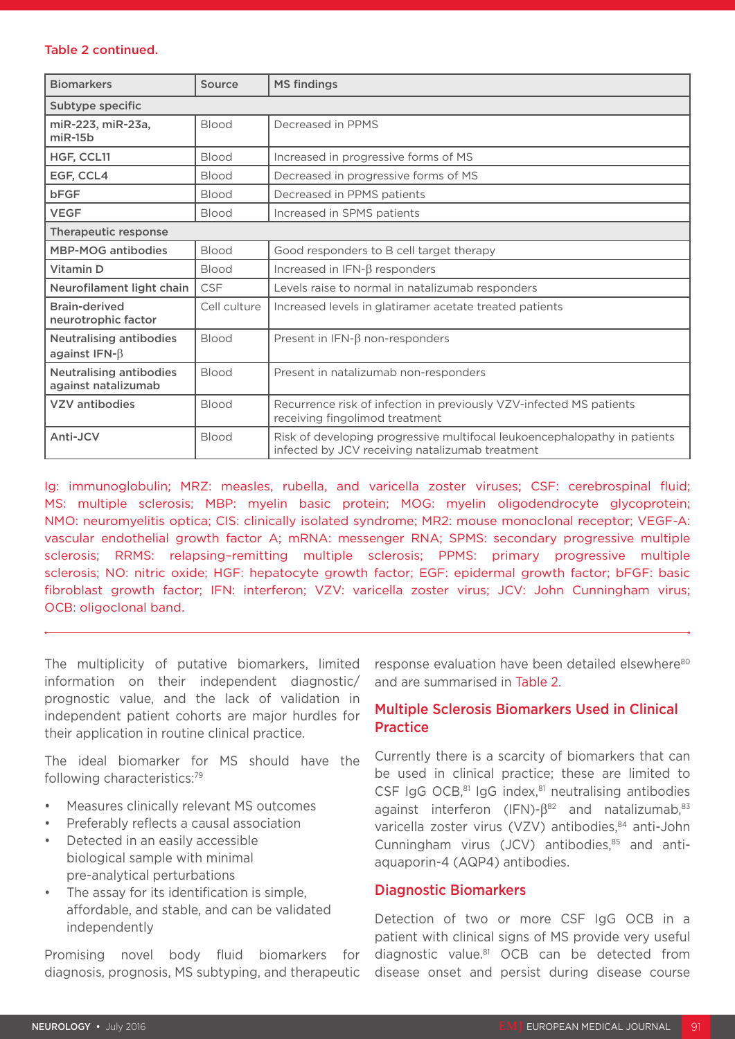#### Table 2 continued.

| <b>Biomarkers</b>                                     | Source       | <b>MS findings</b>                                                                                                           |  |  |
|-------------------------------------------------------|--------------|------------------------------------------------------------------------------------------------------------------------------|--|--|
| Subtype specific                                      |              |                                                                                                                              |  |  |
| miR-223, miR-23a,<br>$miR-15b$                        | <b>Blood</b> | Decreased in PPMS                                                                                                            |  |  |
| HGF, CCL11                                            | <b>Blood</b> | Increased in progressive forms of MS                                                                                         |  |  |
| EGF, CCL4                                             | <b>Blood</b> | Decreased in progressive forms of MS                                                                                         |  |  |
| <b>bFGF</b>                                           | <b>Blood</b> | Decreased in PPMS patients                                                                                                   |  |  |
| <b>VEGF</b>                                           | <b>Blood</b> | Increased in SPMS patients                                                                                                   |  |  |
| Therapeutic response                                  |              |                                                                                                                              |  |  |
| <b>MBP-MOG antibodies</b>                             | <b>Blood</b> | Good responders to B cell target therapy                                                                                     |  |  |
| Vitamin D                                             | <b>Blood</b> | Increased in $IFN-\beta$ responders                                                                                          |  |  |
| Neurofilament light chain                             | <b>CSF</b>   | Levels raise to normal in natalizumab responders                                                                             |  |  |
| <b>Brain-derived</b><br>neurotrophic factor           | Cell culture | Increased levels in glatiramer acetate treated patients                                                                      |  |  |
| <b>Neutralising antibodies</b><br>against $IFN-\beta$ | <b>Blood</b> | Present in IFN- $\beta$ non-responders                                                                                       |  |  |
| <b>Neutralising antibodies</b><br>against natalizumab | <b>Blood</b> | Present in natalizumab non-responders                                                                                        |  |  |
| <b>VZV</b> antibodies                                 | <b>Blood</b> | Recurrence risk of infection in previously VZV-infected MS patients<br>receiving fingolimod treatment                        |  |  |
| Anti-JCV                                              | <b>Blood</b> | Risk of developing progressive multifocal leukoencephalopathy in patients<br>infected by JCV receiving natalizumab treatment |  |  |

Ig: immunoglobulin; MRZ: measles, rubella, and varicella zoster viruses; CSF: cerebrospinal fluid; MS: multiple sclerosis; MBP: myelin basic protein; MOG: myelin oligodendrocyte glycoprotein; NMO: neuromyelitis optica; CIS: clinically isolated syndrome; MR2: mouse monoclonal receptor; VEGF-A: vascular endothelial growth factor A; mRNA: messenger RNA; SPMS: secondary progressive multiple sclerosis; RRMS: relapsing–remitting multiple sclerosis; PPMS: primary progressive multiple sclerosis; NO: nitric oxide; HGF: hepatocyte growth factor; EGF: epidermal growth factor; bFGF: basic fibroblast growth factor; IFN: interferon; VZV: varicella zoster virus; JCV: John Cunningham virus; OCB: oligoclonal band.

The multiplicity of putative biomarkers, limited information on their independent diagnostic/ prognostic value, and the lack of validation in independent patient cohorts are major hurdles for their application in routine clinical practice.

The ideal biomarker for MS should have the following characteristics:79

- Measures clinically relevant MS outcomes
- Preferably reflects a causal association
- Detected in an easily accessible biological sample with minimal pre-analytical perturbations
- The assay for its identification is simple, affordable, and stable, and can be validated independently

Promising novel body fluid biomarkers for diagnosis, prognosis, MS subtyping, and therapeutic response evaluation have been detailed elsewhere<sup>80</sup> and are summarised in Table 2.

### Multiple Sclerosis Biomarkers Used in Clinical **Practice**

Currently there is a scarcity of biomarkers that can be used in clinical practice; these are limited to CSF  $I$ gG OCB, $81$  IgG index, $81$  neutralising antibodies against interferon (IFN)-β<sup>82</sup> and natalizumab, 83 varicella zoster virus (VZV) antibodies, 84 anti-John Cunningham virus (JCV) antibodies, $85$  and antiaquaporin-4 (AQP4) antibodies.

### Diagnostic Biomarkers

Detection of two or more CSF IgG OCB in a patient with clinical signs of MS provide very useful diagnostic value.81 OCB can be detected from disease onset and persist during disease course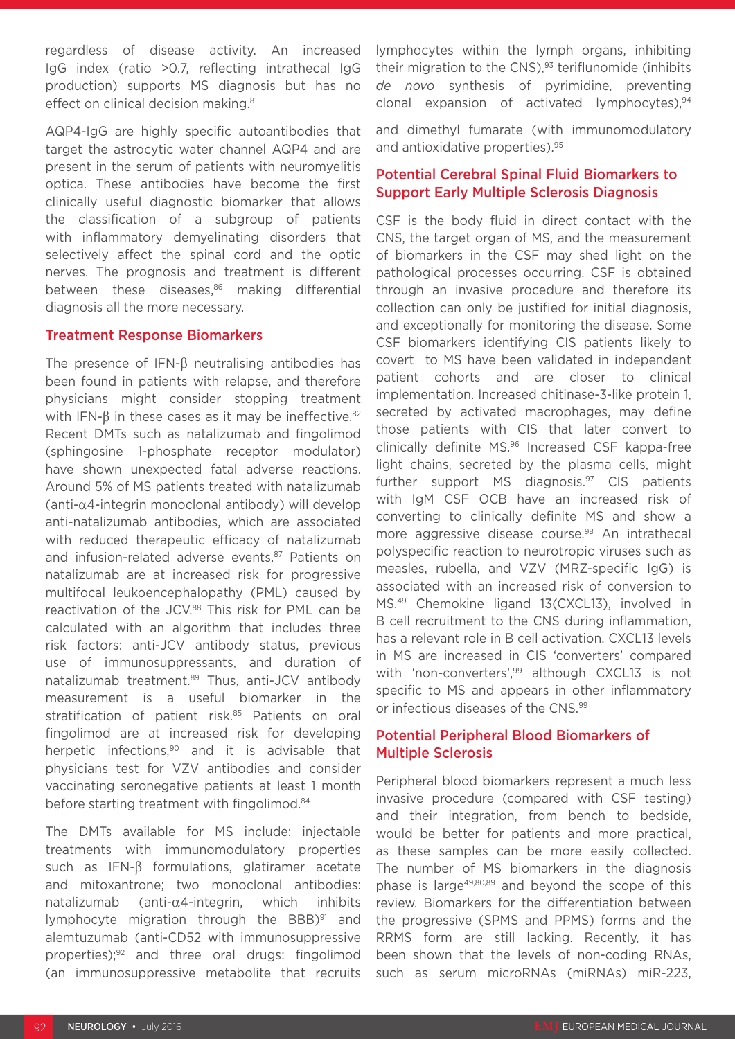regardless of disease activity. An increased IgG index (ratio >0.7, reflecting intrathecal IgG production) supports MS diagnosis but has no effect on clinical decision making.<sup>81</sup>

AQP4-IgG are highly specific autoantibodies that target the astrocytic water channel AQP4 and are present in the serum of patients with neuromyelitis optica. These antibodies have become the first clinically useful diagnostic biomarker that allows the classification of a subgroup of patients with inflammatory demyelinating disorders that selectively affect the spinal cord and the optic nerves. The prognosis and treatment is different between these diseases,<sup>86</sup> making differential diagnosis all the more necessary.

#### Treatment Response Biomarkers

The presence of IFN-β neutralising antibodies has been found in patients with relapse, and therefore physicians might consider stopping treatment with IFN- $\beta$  in these cases as it may be ineffective.<sup>82</sup> Recent DMTs such as natalizumab and fingolimod (sphingosine 1-phosphate receptor modulator) have shown unexpected fatal adverse reactions. Around 5% of MS patients treated with natalizumab (anti-α4-integrin monoclonal antibody) will develop anti-natalizumab antibodies, which are associated with reduced therapeutic efficacy of natalizumab and infusion-related adverse events.<sup>87</sup> Patients on natalizumab are at increased risk for progressive multifocal leukoencephalopathy (PML) caused by reactivation of the JCV.<sup>88</sup> This risk for PML can be calculated with an algorithm that includes three risk factors: anti-JCV antibody status, previous use of immunosuppressants, and duration of natalizumab treatment.89 Thus, anti-JCV antibody measurement is a useful biomarker in the stratification of patient risk.<sup>85</sup> Patients on oral fingolimod are at increased risk for developing herpetic infections.<sup>90</sup> and it is advisable that physicians test for VZV antibodies and consider vaccinating seronegative patients at least 1 month before starting treatment with fingolimod.<sup>84</sup>

The DMTs available for MS include: injectable treatments with immunomodulatory properties such as IFN-β formulations, glatiramer acetate and mitoxantrone; two monoclonal antibodies: natalizumab (anti-α4-integrin, which inhibits lymphocyte migration through the BBB)<sup>91</sup> and alemtuzumab (anti-CD52 with immunosuppressive properties);92 and three oral drugs: fingolimod (an immunosuppressive metabolite that recruits

lymphocytes within the lymph organs, inhibiting their migration to the CNS), $93$  teriflunomide (inhibits *de novo* synthesis of pyrimidine, preventing clonal expansion of activated lymphocytes),94

and dimethyl fumarate (with immunomodulatory and antioxidative properties).95

### Potential Cerebral Spinal Fluid Biomarkers to Support Early Multiple Sclerosis Diagnosis

CSF is the body fluid in direct contact with the CNS, the target organ of MS, and the measurement of biomarkers in the CSF may shed light on the pathological processes occurring. CSF is obtained through an invasive procedure and therefore its collection can only be justified for initial diagnosis, and exceptionally for monitoring the disease. Some CSF biomarkers identifying CIS patients likely to covert to MS have been validated in independent patient cohorts and are closer to clinical implementation. Increased chitinase-3-like protein 1, secreted by activated macrophages, may define those patients with CIS that later convert to clinically definite MS.96 Increased CSF kappa-free light chains, secreted by the plasma cells, might further support MS diagnosis.<sup>97</sup> CIS patients with IgM CSF OCB have an increased risk of converting to clinically definite MS and show a more aggressive disease course.<sup>98</sup> An intrathecal polyspecific reaction to neurotropic viruses such as measles, rubella, and VZV (MRZ-specific IgG) is associated with an increased risk of conversion to MS.49 Chemokine ligand 13(CXCL13), involved in B cell recruitment to the CNS during inflammation, has a relevant role in B cell activation. CXCL13 levels in MS are increased in CIS 'converters' compared with 'non-converters',<sup>99</sup> although CXCL13 is not specific to MS and appears in other inflammatory or infectious diseases of the CNS.99

### Potential Peripheral Blood Biomarkers of Multiple Sclerosis

Peripheral blood biomarkers represent a much less invasive procedure (compared with CSF testing) and their integration, from bench to bedside, would be better for patients and more practical, as these samples can be more easily collected. The number of MS biomarkers in the diagnosis phase is large49,80,89 and beyond the scope of this review. Biomarkers for the differentiation between the progressive (SPMS and PPMS) forms and the RRMS form are still lacking. Recently, it has been shown that the levels of non-coding RNAs, such as serum microRNAs (miRNAs) miR-223,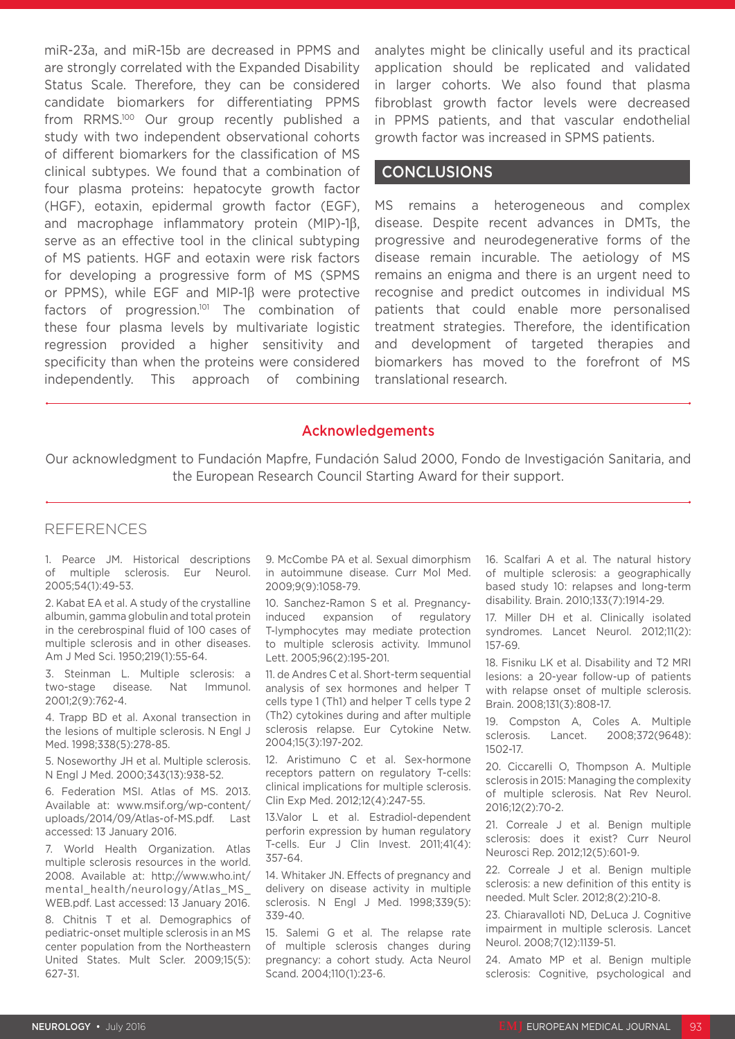miR-23a, and miR-15b are decreased in PPMS and are strongly correlated with the Expanded Disability Status Scale. Therefore, they can be considered candidate biomarkers for differentiating PPMS from RRMS.100 Our group recently published a study with two independent observational cohorts of different biomarkers for the classification of MS clinical subtypes. We found that a combination of four plasma proteins: hepatocyte growth factor (HGF), eotaxin, epidermal growth factor (EGF), and macrophage inflammatory protein (MIP)-1β, serve as an effective tool in the clinical subtyping of MS patients. HGF and eotaxin were risk factors for developing a progressive form of MS (SPMS or PPMS), while EGF and MIP-1β were protective factors of progression.101 The combination of these four plasma levels by multivariate logistic regression provided a higher sensitivity and specificity than when the proteins were considered independently. This approach of combining

analytes might be clinically useful and its practical application should be replicated and validated in larger cohorts. We also found that plasma fibroblast growth factor levels were decreased in PPMS patients, and that vascular endothelial growth factor was increased in SPMS patients.

### **CONCLUSIONS**

MS remains a heterogeneous and complex disease. Despite recent advances in DMTs, the progressive and neurodegenerative forms of the disease remain incurable. The aetiology of MS remains an enigma and there is an urgent need to recognise and predict outcomes in individual MS patients that could enable more personalised treatment strategies. Therefore, the identification and development of targeted therapies and biomarkers has moved to the forefront of MS translational research.

#### Acknowledgements

Our acknowledgment to Fundación Mapfre, Fundación Salud 2000, Fondo de Investigación Sanitaria, and the European Research Council Starting Award for their support.

#### REFERENCES

1. Pearce JM. Historical descriptions of multiple sclerosis. Eur Neurol. 2005;54(1):49-53.

2. Kabat EA et al. A study of the crystalline albumin, gamma globulin and total protein in the cerebrospinal fluid of 100 cases of multiple sclerosis and in other diseases. Am J Med Sci. 1950;219(1):55-64.

3. Steinman L. Multiple sclerosis: a two-stage disease. Nat Immunol. 2001;2(9):762-4.

4. Trapp BD et al. Axonal transection in the lesions of multiple sclerosis. N Engl J Med. 1998;338(5):278-85.

5. Noseworthy JH et al. Multiple sclerosis. N Engl J Med. 2000;343(13):938-52.

6. Federation MSI. Atlas of MS. 2013. Available at: www.msif.org/wp-content/ uploads/2014/09/Atlas-of-MS.pdf. Last accessed: 13 January 2016.

7. World Health Organization. Atlas multiple sclerosis resources in the world. 2008. Available at: http://www.who.int/ mental health/neurology/Atlas MS WEB.pdf. Last accessed: 13 January 2016.

8. Chitnis T et al. Demographics of pediatric-onset multiple sclerosis in an MS center population from the Northeastern United States. Mult Scler. 2009;15(5): 627-31.

9. McCombe PA et al. Sexual dimorphism in autoimmune disease. Curr Mol Med. 2009;9(9):1058-79.

10. Sanchez-Ramon S et al. Pregnancyinduced expansion of regulatory T-lymphocytes may mediate protection to multiple sclerosis activity. Immunol Lett. 2005;96(2):195-201.

11. de Andres C et al. Short-term sequential analysis of sex hormones and helper T cells type 1 (Th1) and helper T cells type 2 (Th2) cytokines during and after multiple sclerosis relapse. Eur Cytokine Netw. 2004;15(3):197-202.

12. Aristimuno C et al. Sex-hormone receptors pattern on regulatory T-cells: clinical implications for multiple sclerosis. Clin Exp Med. 2012;12(4):247-55.

13.Valor L et al. Estradiol-dependent perforin expression by human regulatory T-cells. Eur J Clin Invest. 2011;41(4): 357-64.

14. Whitaker JN. Effects of pregnancy and delivery on disease activity in multiple sclerosis. N Engl J Med. 1998;339(5): 339-40.

15. Salemi G et al. The relapse rate of multiple sclerosis changes during pregnancy: a cohort study. Acta Neurol Scand. 2004;110(1):23-6.

16. Scalfari A et al. The natural history of multiple sclerosis: a geographically based study 10: relapses and long-term disability. Brain. 2010;133(7):1914-29.

17. Miller DH et al. Clinically isolated syndromes. Lancet Neurol. 2012;11(2): 157-69.

18. Fisniku LK et al. Disability and T2 MRI lesions: a 20-year follow-up of patients with relapse onset of multiple sclerosis. Brain. 2008;131(3):808-17.

19. Compston A, Coles A. Multiple sclerosis. Lancet. 2008;372(9648): 1502-17.

20. Ciccarelli O, Thompson A. Multiple sclerosis in 2015: Managing the complexity of multiple sclerosis. Nat Rev Neurol. 2016;12(2):70-2.

21. Correale J et al. Benign multiple sclerosis: does it exist? Curr Neurol Neurosci Rep. 2012;12(5):601-9.

22. Correale J et al. Benign multiple sclerosis: a new definition of this entity is needed. Mult Scler. 2012;8(2):210-8.

23. Chiaravalloti ND, DeLuca J. Cognitive impairment in multiple sclerosis. Lancet Neurol. 2008;7(12):1139-51.

24. Amato MP et al. Benign multiple sclerosis: Cognitive, psychological and

92 NEUROLOGY • July 2016 **EMJ** EUROPEAN MEDICAL JOURNAL NEUROLOGY • July 2016 **EMJ** EUROPEAN MEDICAL JOURNAL 93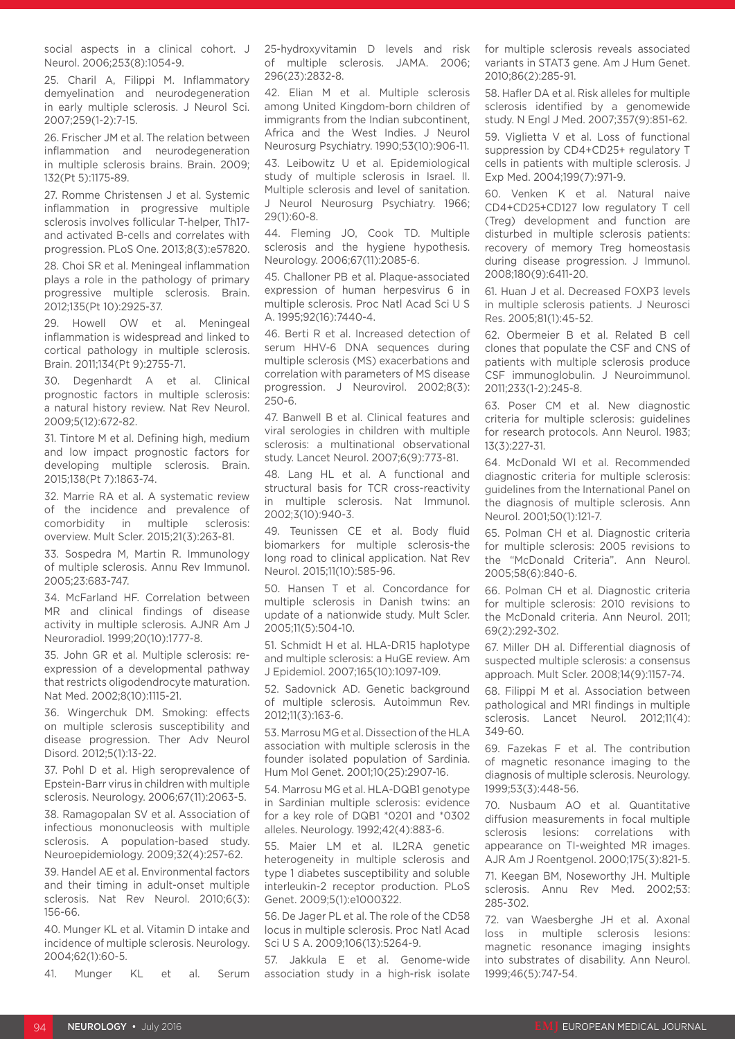social aspects in a clinical cohort. J Neurol. 2006;253(8):1054-9.

25. Charil A, Filippi M. Inflammatory demyelination and neurodegeneration in early multiple sclerosis. J Neurol Sci. 2007;259(1-2):7-15.

26. Frischer JM et al. The relation between inflammation and neurodegeneration in multiple sclerosis brains. Brain. 2009; 132(Pt 5):1175-89.

27. Romme Christensen J et al. Systemic inflammation in progressive multiple sclerosis involves follicular T-helper, Th17 and activated B-cells and correlates with progression. PLoS One. 2013;8(3):e57820.

28. Choi SR et al. Meningeal inflammation plays a role in the pathology of primary progressive multiple sclerosis. Brain. 2012;135(Pt 10):2925-37.

29. Howell OW et al. Meningeal inflammation is widespread and linked to cortical pathology in multiple sclerosis. Brain. 2011;134(Pt 9):2755-71.

30. Degenhardt A et al. Clinical prognostic factors in multiple sclerosis: a natural history review. Nat Rev Neurol. 2009;5(12):672-82.

31. Tintore M et al. Defining high, medium and low impact prognostic factors for developing multiple sclerosis. Brain. 2015;138(Pt 7):1863-74.

32. Marrie RA et al. A systematic review of the incidence and prevalence of comorbidity in multiple sclerosis: overview. Mult Scler. 2015;21(3):263-81.

33. Sospedra M, Martin R. Immunology of multiple sclerosis. Annu Rev Immunol. 2005;23:683-747.

34. McFarland HF. Correlation between MR and clinical findings of disease activity in multiple sclerosis. AJNR Am J Neuroradiol. 1999;20(10):1777-8.

35. John GR et al. Multiple sclerosis: reexpression of a developmental pathway that restricts oligodendrocyte maturation. Nat Med. 2002;8(10):1115-21.

36. Wingerchuk DM. Smoking: effects on multiple sclerosis susceptibility and disease progression. Ther Adv Neurol Disord. 2012;5(1):13-22.

37. Pohl D et al. High seroprevalence of Epstein-Barr virus in children with multiple sclerosis. Neurology. 2006;67(11):2063-5.

38. Ramagopalan SV et al. Association of infectious mononucleosis with multiple sclerosis. A population-based study. Neuroepidemiology. 2009;32(4):257-62.

39. Handel AE et al. Environmental factors and their timing in adult-onset multiple sclerosis. Nat Rev Neurol. 2010;6(3): 156-66.

40. Munger KL et al. Vitamin D intake and incidence of multiple sclerosis. Neurology. 2004;62(1):60-5.

41. Munger KL et al. Serum

25-hydroxyvitamin D levels and risk of multiple sclerosis. JAMA. 2006; 296(23):2832-8.

42. Elian M et al. Multiple sclerosis among United Kingdom-born children of immigrants from the Indian subcontinent, Africa and the West Indies. J Neurol Neurosurg Psychiatry. 1990;53(10):906-11.

43. Leibowitz U et al. Epidemiological study of multiple sclerosis in Israel. II. Multiple sclerosis and level of sanitation. J Neurol Neurosurg Psychiatry. 1966; 29(1):60-8.

44. Fleming JO, Cook TD. Multiple sclerosis and the hygiene hypothesis. Neurology. 2006;67(11):2085-6.

45. Challoner PB et al. Plaque-associated expression of human herpesvirus 6 in multiple sclerosis. Proc Natl Acad Sci U S A. 1995;92(16):7440-4.

46. Berti R et al. Increased detection of serum HHV-6 DNA sequences during multiple sclerosis (MS) exacerbations and correlation with parameters of MS disease progression. J Neurovirol. 2002;8(3): 250-6.

47. Banwell B et al. Clinical features and viral serologies in children with multiple sclerosis: a multinational observational study. Lancet Neurol. 2007;6(9):773-81.

48. Lang HL et al. A functional and structural basis for TCR cross-reactivity in multiple sclerosis. Nat Immunol. 2002;3(10):940-3.

49. Teunissen CE et al. Body fluid biomarkers for multiple sclerosis-the long road to clinical application. Nat Rev Neurol. 2015;11(10):585-96.

50. Hansen T et al. Concordance for multiple sclerosis in Danish twins: an update of a nationwide study. Mult Scler. 2005;11(5):504-10.

51. Schmidt H et al. HLA-DR15 haplotype and multiple sclerosis: a HuGE review. Am J Epidemiol. 2007;165(10):1097-109.

52. Sadovnick AD. Genetic background of multiple sclerosis. Autoimmun Rev. 2012;11(3):163-6.

53. Marrosu MG et al. Dissection of the HLA association with multiple sclerosis in the founder isolated population of Sardinia. Hum Mol Genet. 2001;10(25):2907-16.

54. Marrosu MG et al. HLA-DQB1 genotype in Sardinian multiple sclerosis: evidence for a key role of DQB1 \*0201 and \*0302 alleles. Neurology. 1992;42(4):883-6.

55. Maier LM et al. IL2RA genetic heterogeneity in multiple sclerosis and type 1 diabetes susceptibility and soluble interleukin-2 receptor production. PLoS Genet. 2009;5(1):e1000322.

56. De Jager PL et al. The role of the CD58 locus in multiple sclerosis. Proc Natl Acad Sci U S A. 2009;106(13):5264-9.

57. Jakkula E et al. Genome-wide association study in a high-risk isolate

for multiple sclerosis reveals associated variants in STAT3 gene. Am J Hum Genet. 2010;86(2):285-91.

58. Hafler DA et al. Risk alleles for multiple sclerosis identified by a genomewide study. N Engl J Med. 2007;357(9):851-62.

59. Viglietta V et al. Loss of functional suppression by CD4+CD25+ regulatory T cells in patients with multiple sclerosis. J Exp Med. 2004;199(7):971-9.

60. Venken K et al. Natural naive CD4+CD25+CD127 low regulatory T cell (Treg) development and function are disturbed in multiple sclerosis patients: recovery of memory Treg homeostasis during disease progression. J Immunol. 2008;180(9):6411-20.

61. Huan J et al. Decreased FOXP3 levels in multiple sclerosis patients. J Neurosci Res. 2005;81(1):45-52.

62. Obermeier B et al. Related B cell clones that populate the CSF and CNS of patients with multiple sclerosis produce CSF immunoglobulin. J Neuroimmunol. 2011;233(1-2):245-8.

63. Poser CM et al. New diagnostic criteria for multiple sclerosis: guidelines for research protocols. Ann Neurol. 1983; 13(3):227-31.

64. McDonald WI et al. Recommended diagnostic criteria for multiple sclerosis: guidelines from the International Panel on the diagnosis of multiple sclerosis. Ann Neurol. 2001;50(1):121-7.

65. Polman CH et al. Diagnostic criteria for multiple sclerosis: 2005 revisions to the "McDonald Criteria". Ann Neurol. 2005;58(6):840-6.

66. Polman CH et al. Diagnostic criteria for multiple sclerosis: 2010 revisions to the McDonald criteria. Ann Neurol. 2011; 69(2):292-302.

67. Miller DH al. Differential diagnosis of suspected multiple sclerosis: a consensus approach. Mult Scler. 2008;14(9):1157-74.

68. Filippi M et al. Association between pathological and MRI findings in multiple sclerosis. Lancet Neurol. 2012;11(4): 349-60.

69. Fazekas F et al. The contribution of magnetic resonance imaging to the diagnosis of multiple sclerosis. Neurology. 1999;53(3):448-56.

70. Nusbaum AO et al. Quantitative diffusion measurements in focal multiple sclerosis lesions: correlations with appearance on TI-weighted MR images. AJR Am J Roentgenol. 2000;175(3):821-5.

71. Keegan BM, Noseworthy JH. Multiple sclerosis. Annu Rev Med. 2002;53: 285-302.

72. van Waesberghe JH et al. Axonal loss in multiple sclerosis lesions: magnetic resonance imaging insights into substrates of disability. Ann Neurol. 1999;46(5):747-54.